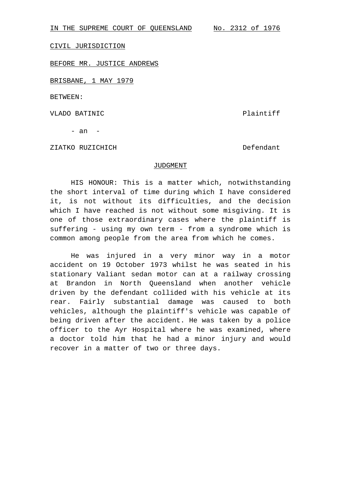IN THE SUPREME COURT OF QUEENSLAND No. 2312 of 1976

CIVIL JURISDICTION

BEFORE MR. JUSTICE ANDREWS

BRISBANE, 1 MAY 1979

BETWEEN:

VLADO BATINIC **Plaintiff** 

- an -

ZIATKO RUZICHICH Defendant

## JUDGMENT

HIS HONOUR: This is a matter which, notwithstanding the short interval of time during which I have considered it, is not without its difficulties, and the decision which I have reached is not without some misgiving. It is one of those extraordinary cases where the plaintiff is suffering - using my own term - from a syndrome which is common among people from the area from which he comes.

He was injured in a very minor way in a motor accident on 19 October 1973 whilst he was seated in his stationary Valiant sedan motor can at a railway crossing at Brandon in North Queensland when another vehicle driven by the defendant collided with his vehicle at its rear. Fairly substantial damage was caused to both vehicles, although the plaintiff's vehicle was capable of being driven after the accident. He was taken by a police officer to the Ayr Hospital where he was examined, where a doctor told him that he had a minor injury and would recover in a matter of two or three days.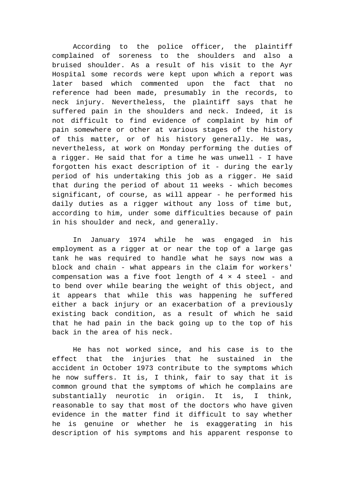According to the police officer, the plaintiff complained of soreness to the shoulders and also a bruised shoulder. As a result of his visit to the Ayr Hospital some records were kept upon which a report was later based which commented upon the fact that no reference had been made, presumably in the records, to neck injury. Nevertheless, the plaintiff says that he suffered pain in the shoulders and neck. Indeed, it is not difficult to find evidence of complaint by him of pain somewhere or other at various stages of the history of this matter, or of his history generally. He was, nevertheless, at work on Monday performing the duties of a rigger. He said that for a time he was unwell - I have forgotten his exact description of it - during the early period of his undertaking this job as a rigger. He said that during the period of about 11 weeks - which becomes significant, of course, as will appear - he performed his daily duties as a rigger without any loss of time but, according to him, under some difficulties because of pain in his shoulder and neck, and generally.

In January 1974 while he was engaged in his employment as a rigger at or near the top of a large gas tank he was required to handle what he says now was a block and chain - what appears in the claim for workers' compensation was a five foot length of  $4 \times 4$  steel - and to bend over while bearing the weight of this object, and it appears that while this was happening he suffered either a back injury or an exacerbation of a previously existing back condition, as a result of which he said that he had pain in the back going up to the top of his back in the area of his neck.

He has not worked since, and his case is to the effect that the injuries that he sustained in the accident in October 1973 contribute to the symptoms which he now suffers. It is, I think, fair to say that it is common ground that the symptoms of which he complains are substantially neurotic in origin. It is, I think, reasonable to say that most of the doctors who have given evidence in the matter find it difficult to say whether he is genuine or whether he is exaggerating in his description of his symptoms and his apparent response to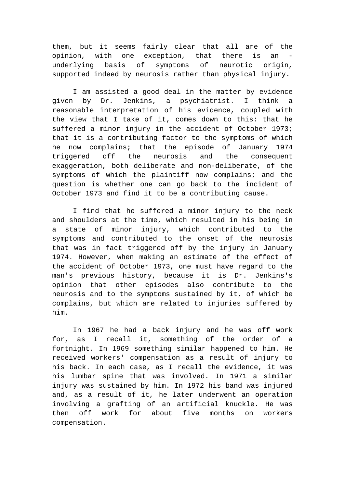them, but it seems fairly clear that all are of the opinion, with one exception, that there is an underlying basis of symptoms of neurotic origin, supported indeed by neurosis rather than physical injury.

I am assisted a good deal in the matter by evidence given by Dr. Jenkins, a psychiatrist. I think a reasonable interpretation of his evidence, coupled with the view that I take of it, comes down to this: that he suffered a minor injury in the accident of October 1973; that it is a contributing factor to the symptoms of which he now complains; that the episode of January 1974 triggered off the neurosis and the consequent exaggeration, both deliberate and non-deliberate, of the symptoms of which the plaintiff now complains; and the question is whether one can go back to the incident of October 1973 and find it to be a contributing cause.

I find that he suffered a minor injury to the neck and shoulders at the time, which resulted in his being in a state of minor injury, which contributed to the symptoms and contributed to the onset of the neurosis that was in fact triggered off by the injury in January 1974. However, when making an estimate of the effect of the accident of October 1973, one must have regard to the man's previous history, because it is Dr. Jenkins's opinion that other episodes also contribute to the neurosis and to the symptoms sustained by it, of which be complains, but which are related to injuries suffered by him.

In 1967 he had a back injury and he was off work for, as I recall it, something of the order of a fortnight. In 1969 something similar happened to him. He received workers' compensation as a result of injury to his back. In each case, as I recall the evidence, it was his lumbar spine that was involved. In 1971 a similar injury was sustained by him. In 1972 his band was injured and, as a result of it, he later underwent an operation involving a grafting of an artificial knuckle. He was then off work for about five months on workers compensation.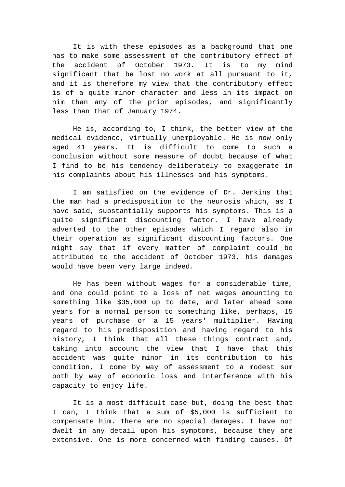It is with these episodes as a background that one has to make some assessment of the contributory effect of the accident of October 1973. It is to my mind significant that be lost no work at all pursuant to it, and it is therefore my view that the contributory effect is of a quite minor character and less in its impact on him than any of the prior episodes, and significantly less than that of January 1974.

He is, according to, I think, the better view of the medical evidence, virtually unemployable. He is now only aged 41 years. It is difficult to come to such a conclusion without some measure of doubt because of what I find to be his tendency deliberately to exaggerate in his complaints about his illnesses and his symptoms.

I am satisfied on the evidence of Dr. Jenkins that the man had a predisposition to the neurosis which, as I have said, substantially supports his symptoms. This is a quite significant discounting factor. I have already adverted to the other episodes which I regard also in their operation as significant discounting factors. One might say that if every matter of complaint could be attributed to the accident of October 1973, his damages would have been very large indeed.

He has been without wages for a considerable time, and one could point to a loss of net wages amounting to something like \$35,000 up to date, and later ahead some years for a normal person to something like, perhaps, 15 years of purchase or a 15 years' multiplier. Having regard to his predisposition and having regard to his history, I think that all these things contract and, taking into account the view that I have that this accident was quite minor in its contribution to his condition, I come by way of assessment to a modest sum both by way of economic loss and interference with his capacity to enjoy life.

It is a most difficult case but, doing the best that I can, I think that a sum of \$5,000 is sufficient to compensate him. There are no special damages. I have not dwelt in any detail upon his symptoms, because they are extensive. One is more concerned with finding causes. Of